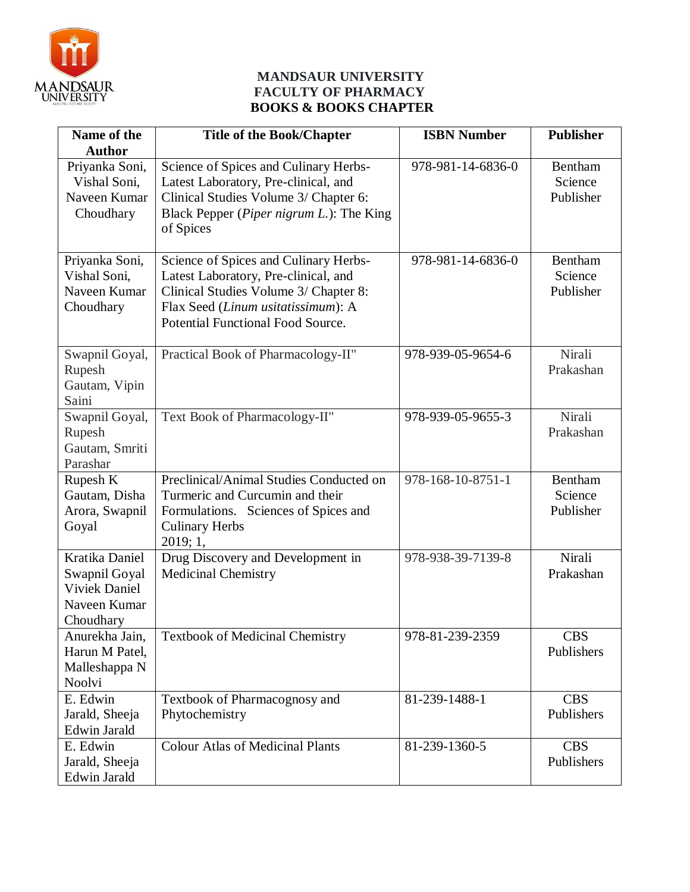

#### **MANDSAUR UNIVERSITY FACULTY OF PHARMACY BOOKS & BOOKS CHAPTER**

| Name of the                                                                          | <b>Title of the Book/Chapter</b>                                                                                                                                                                         | <b>ISBN Number</b> | <b>Publisher</b>                |
|--------------------------------------------------------------------------------------|----------------------------------------------------------------------------------------------------------------------------------------------------------------------------------------------------------|--------------------|---------------------------------|
| <b>Author</b>                                                                        |                                                                                                                                                                                                          |                    |                                 |
| Priyanka Soni,<br>Vishal Soni,<br>Naveen Kumar<br>Choudhary                          | Science of Spices and Culinary Herbs-<br>Latest Laboratory, Pre-clinical, and<br>Clinical Studies Volume 3/ Chapter 6:<br>Black Pepper (Piper nigrum L.): The King<br>of Spices                          | 978-981-14-6836-0  | Bentham<br>Science<br>Publisher |
| Priyanka Soni,<br>Vishal Soni,<br>Naveen Kumar<br>Choudhary                          | Science of Spices and Culinary Herbs-<br>Latest Laboratory, Pre-clinical, and<br>Clinical Studies Volume 3/ Chapter 8:<br>Flax Seed (Linum usitatissimum): A<br><b>Potential Functional Food Source.</b> | 978-981-14-6836-0  | Bentham<br>Science<br>Publisher |
| Swapnil Goyal,<br>Rupesh<br>Gautam, Vipin<br>Saini                                   | Practical Book of Pharmacology-II"                                                                                                                                                                       | 978-939-05-9654-6  | Nirali<br>Prakashan             |
| Swapnil Goyal,<br>Rupesh<br>Gautam, Smriti<br>Parashar                               | Text Book of Pharmacology-II"                                                                                                                                                                            | 978-939-05-9655-3  | Nirali<br>Prakashan             |
| Rupesh K<br>Gautam, Disha<br>Arora, Swapnil<br>Goyal                                 | Preclinical/Animal Studies Conducted on<br>Turmeric and Curcumin and their<br>Formulations. Sciences of Spices and<br><b>Culinary Herbs</b><br>2019; 1,                                                  | 978-168-10-8751-1  | Bentham<br>Science<br>Publisher |
| Kratika Daniel<br>Swapnil Goyal<br><b>Viviek Daniel</b><br>Naveen Kumar<br>Choudhary | Drug Discovery and Development in<br><b>Medicinal Chemistry</b>                                                                                                                                          | 978-938-39-7139-8  | Nirali<br>Prakashan             |
| Anurekha Jain,<br>Harun M Patel,<br>Malleshappa N<br>Noolvi                          | <b>Textbook of Medicinal Chemistry</b>                                                                                                                                                                   | 978-81-239-2359    | <b>CBS</b><br>Publishers        |
| E. Edwin<br>Jarald, Sheeja<br><b>Edwin Jarald</b>                                    | Textbook of Pharmacognosy and<br>Phytochemistry                                                                                                                                                          | 81-239-1488-1      | <b>CBS</b><br>Publishers        |
| E. Edwin<br>Jarald, Sheeja<br>Edwin Jarald                                           | <b>Colour Atlas of Medicinal Plants</b>                                                                                                                                                                  | 81-239-1360-5      | <b>CBS</b><br>Publishers        |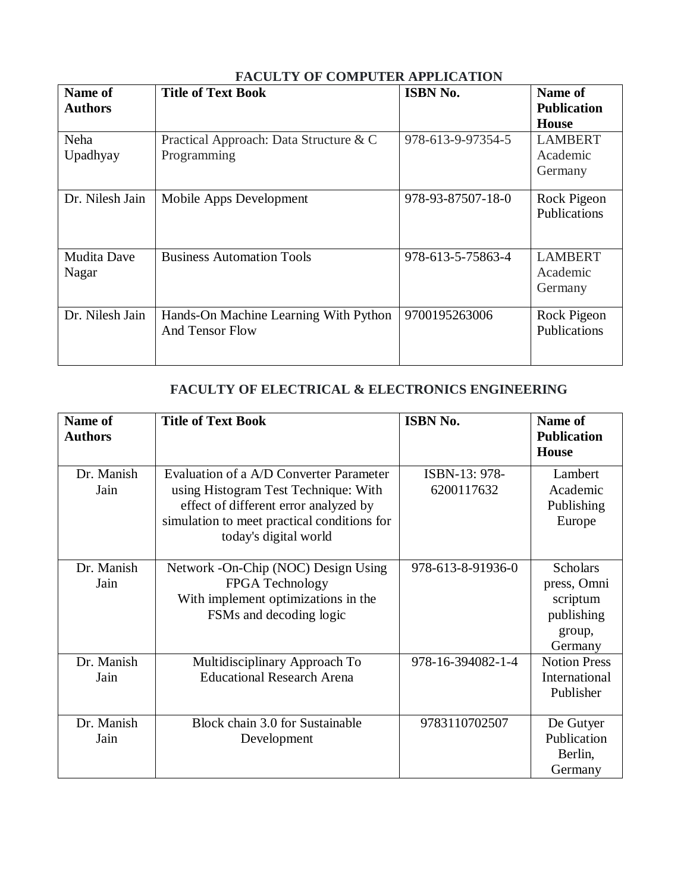| <b>Name of</b><br><b>Authors</b> | <b>Title of Text Book</b>                                       | <b>ISBN No.</b>   | Name of<br><b>Publication</b><br><b>House</b> |
|----------------------------------|-----------------------------------------------------------------|-------------------|-----------------------------------------------|
| Neha<br>Upadhyay                 | Practical Approach: Data Structure & C<br>Programming           | 978-613-9-97354-5 | <b>LAMBERT</b><br>Academic<br>Germany         |
| Dr. Nilesh Jain                  | Mobile Apps Development                                         | 978-93-87507-18-0 | Rock Pigeon<br>Publications                   |
| <b>Mudita Dave</b><br>Nagar      | <b>Business Automation Tools</b>                                | 978-613-5-75863-4 | <b>LAMBERT</b><br>Academic<br>Germany         |
| Dr. Nilesh Jain                  | Hands-On Machine Learning With Python<br><b>And Tensor Flow</b> | 9700195263006     | Rock Pigeon<br>Publications                   |

## **FACULTY OF COMPUTER APPLICATION**

#### **FACULTY OF ELECTRICAL & ELECTRONICS ENGINEERING**

| Name of<br><b>Authors</b> | <b>Title of Text Book</b>                                                                                                                                                                        | <b>ISBN No.</b>             | Name of<br><b>Publication</b><br><b>House</b>                                 |
|---------------------------|--------------------------------------------------------------------------------------------------------------------------------------------------------------------------------------------------|-----------------------------|-------------------------------------------------------------------------------|
| Dr. Manish<br>Jain        | Evaluation of a A/D Converter Parameter<br>using Histogram Test Technique: With<br>effect of different error analyzed by<br>simulation to meet practical conditions for<br>today's digital world | ISBN-13: 978-<br>6200117632 | Lambert<br>Academic<br>Publishing<br>Europe                                   |
| Dr. Manish<br>Jain        | Network - On-Chip (NOC) Design Using<br>FPGA Technology<br>With implement optimizations in the<br>FSMs and decoding logic                                                                        | 978-613-8-91936-0           | <b>Scholars</b><br>press, Omni<br>scriptum<br>publishing<br>group,<br>Germany |
| Dr. Manish<br>Jain        | Multidisciplinary Approach To<br><b>Educational Research Arena</b>                                                                                                                               | 978-16-394082-1-4           | <b>Notion Press</b><br>International<br>Publisher                             |
| Dr. Manish<br>Jain        | Block chain 3.0 for Sustainable<br>Development                                                                                                                                                   | 9783110702507               | De Gutyer<br>Publication<br>Berlin,<br>Germany                                |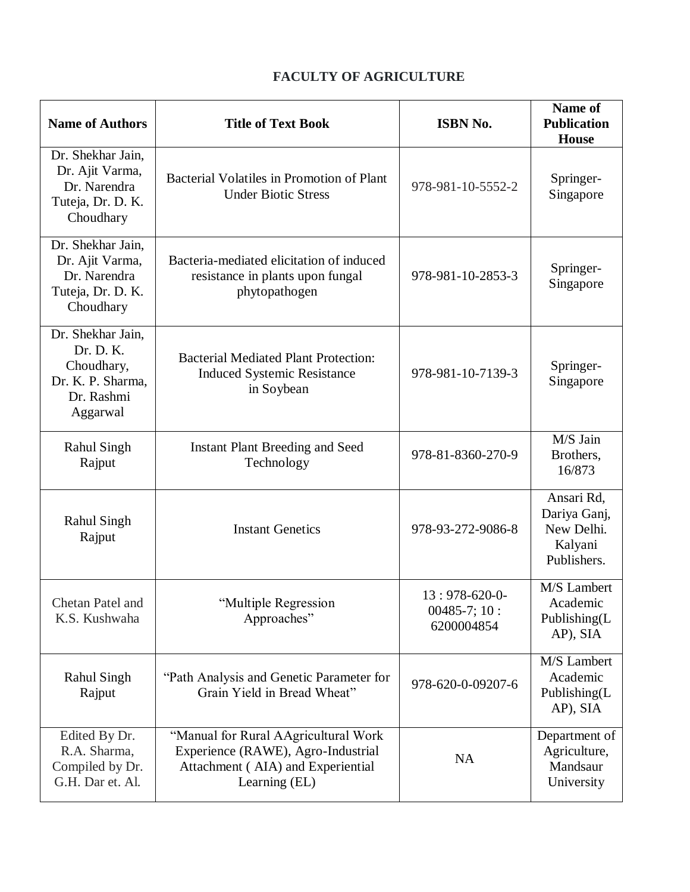## **FACULTY OF AGRICULTURE**

| <b>Name of Authors</b>                                                                                                                                                                                   | <b>Title of Text Book</b>                                                                       |                                               | Name of<br><b>Publication</b><br><b>House</b>                      |
|----------------------------------------------------------------------------------------------------------------------------------------------------------------------------------------------------------|-------------------------------------------------------------------------------------------------|-----------------------------------------------|--------------------------------------------------------------------|
| Dr. Shekhar Jain,<br>Dr. Ajit Varma,<br>Bacterial Volatiles in Promotion of Plant<br>Dr. Narendra<br><b>Under Biotic Stress</b><br>Tuteja, Dr. D. K.<br>Choudhary                                        |                                                                                                 | 978-981-10-5552-2                             | Springer-<br>Singapore                                             |
| Dr. Shekhar Jain,<br>Dr. Ajit Varma,<br>Bacteria-mediated elicitation of induced<br>Dr. Narendra<br>resistance in plants upon fungal<br>Tuteja, Dr. D. K.<br>phytopathogen<br>Choudhary                  |                                                                                                 | 978-981-10-2853-3                             | Springer-<br>Singapore                                             |
| Dr. Shekhar Jain,<br>Dr. D. K.<br>Choudhary,<br>Dr. K. P. Sharma,<br>Dr. Rashmi<br>Aggarwal                                                                                                              | <b>Bacterial Mediated Plant Protection:</b><br><b>Induced Systemic Resistance</b><br>in Soybean | 978-981-10-7139-3                             | Springer-<br>Singapore                                             |
| <b>Rahul Singh</b><br>Rajput                                                                                                                                                                             | <b>Instant Plant Breeding and Seed</b><br>Technology                                            | 978-81-8360-270-9                             | M/S Jain<br>Brothers,<br>16/873                                    |
| <b>Rahul Singh</b><br>Rajput                                                                                                                                                                             | <b>Instant Genetics</b>                                                                         | 978-93-272-9086-8                             | Ansari Rd,<br>Dariya Ganj,<br>New Delhi.<br>Kalyani<br>Publishers. |
| Chetan Patel and<br>K.S. Kushwaha                                                                                                                                                                        | "Multiple Regression<br>Approaches"                                                             | $13:978-620-0-$<br>00485-7; 10:<br>6200004854 | M/S Lambert<br>Academic<br>Publishing(L<br>AP), SIA                |
| <b>Rahul Singh</b><br>Rajput                                                                                                                                                                             | "Path Analysis and Genetic Parameter for<br>Grain Yield in Bread Wheat"                         | 978-620-0-09207-6                             | M/S Lambert<br>Academic<br>Publishing(L<br>AP), SIA                |
| "Manual for Rural AAgricultural Work<br>Edited By Dr.<br>R.A. Sharma,<br>Experience (RAWE), Agro-Industrial<br>Compiled by Dr.<br>Attachment (AIA) and Experiential<br>G.H. Dar et. Al.<br>Learning (EL) |                                                                                                 | <b>NA</b>                                     | Department of<br>Agriculture,<br>Mandsaur<br>University            |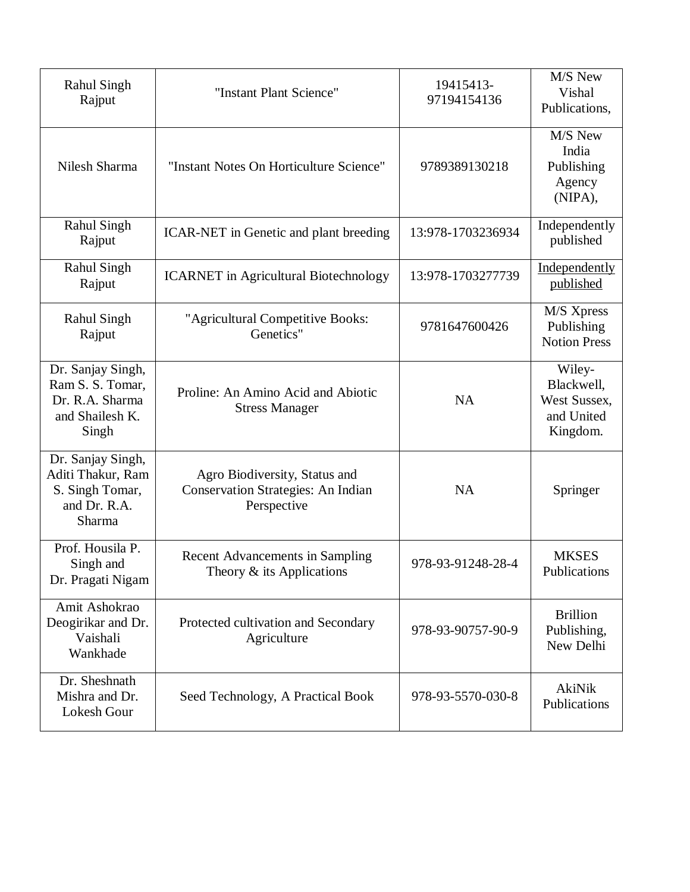| <b>Rahul Singh</b><br>Rajput                                                         | "Instant Plant Science"                                                            | 19415413-<br>97194154136 | M/S New<br>Vishal<br>Publications,                             |
|--------------------------------------------------------------------------------------|------------------------------------------------------------------------------------|--------------------------|----------------------------------------------------------------|
| Nilesh Sharma                                                                        | "Instant Notes On Horticulture Science"                                            | 9789389130218            | M/S New<br>India<br>Publishing<br>Agency<br>(NIPA),            |
| <b>Rahul Singh</b><br>Rajput                                                         | ICAR-NET in Genetic and plant breeding                                             | 13:978-1703236934        | Independently<br>published                                     |
| <b>Rahul Singh</b><br>Rajput                                                         | <b>ICARNET</b> in Agricultural Biotechnology                                       | 13:978-1703277739        | Independently<br>published                                     |
| <b>Rahul Singh</b><br>Rajput                                                         | "Agricultural Competitive Books:<br>Genetics"                                      | 9781647600426            | M/S Xpress<br>Publishing<br><b>Notion Press</b>                |
| Dr. Sanjay Singh,<br>Ram S. S. Tomar,<br>Dr. R.A. Sharma<br>and Shailesh K.<br>Singh | Proline: An Amino Acid and Abiotic<br><b>Stress Manager</b>                        | <b>NA</b>                | Wiley-<br>Blackwell,<br>West Sussex,<br>and United<br>Kingdom. |
| Dr. Sanjay Singh,<br>Aditi Thakur, Ram<br>S. Singh Tomar,<br>and Dr. R.A.<br>Sharma  | Agro Biodiversity, Status and<br>Conservation Strategies: An Indian<br>Perspective | <b>NA</b>                | Springer                                                       |
| Prof. Housila P.<br>Singh and<br>Dr. Pragati Nigam                                   | <b>Recent Advancements in Sampling</b><br>Theory $&$ its Applications              | 978-93-91248-28-4        | <b>MKSES</b><br>Publications                                   |
| Amit Ashokrao<br>Deogirikar and Dr.<br>Vaishali<br>Wankhade                          | Protected cultivation and Secondary<br>Agriculture                                 | 978-93-90757-90-9        | <b>Brillion</b><br>Publishing,<br>New Delhi                    |
| Dr. Sheshnath<br>Mishra and Dr.<br>Lokesh Gour                                       | Seed Technology, A Practical Book                                                  | 978-93-5570-030-8        | AkiNik<br>Publications                                         |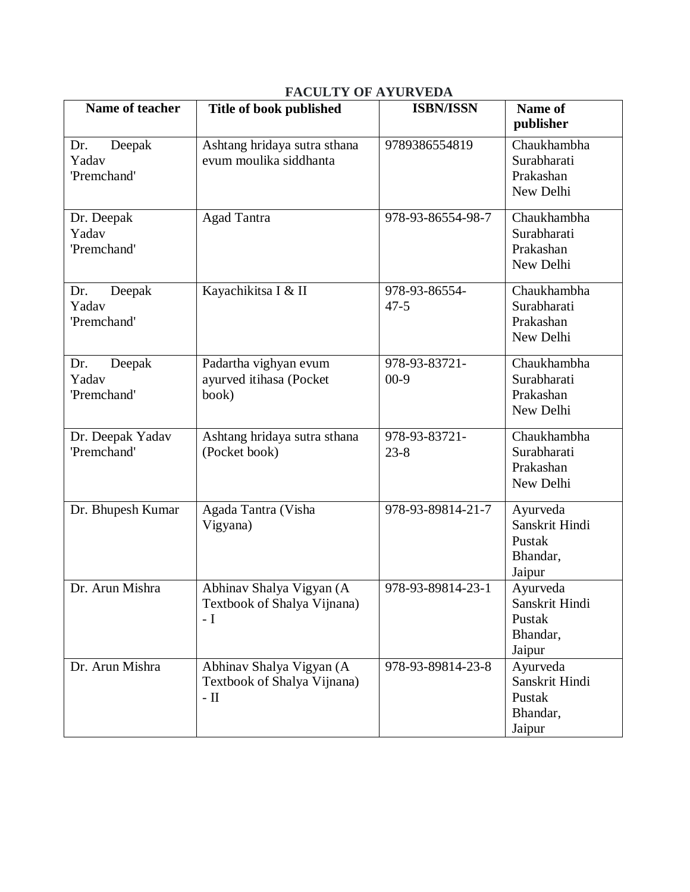|                                       | <b>FACULTY OF AYURVEDA</b>                                            |                           |                                                            |  |  |  |  |
|---------------------------------------|-----------------------------------------------------------------------|---------------------------|------------------------------------------------------------|--|--|--|--|
| Name of teacher                       | Title of book published                                               | <b>ISBN/ISSN</b>          | Name of<br>publisher                                       |  |  |  |  |
| Deepak<br>Dr.<br>Yadav<br>'Premchand' | Ashtang hridaya sutra sthana<br>evum moulika siddhanta                | 9789386554819             | Chaukhambha<br>Surabharati<br>Prakashan<br>New Delhi       |  |  |  |  |
| Dr. Deepak<br>Yadav<br>'Premchand'    | <b>Agad Tantra</b>                                                    | 978-93-86554-98-7         | Chaukhambha<br>Surabharati<br>Prakashan<br>New Delhi       |  |  |  |  |
| Dr.<br>Deepak<br>Yadav<br>'Premchand' | Kayachikitsa I & II                                                   | 978-93-86554-<br>$47 - 5$ | Chaukhambha<br>Surabharati<br>Prakashan<br>New Delhi       |  |  |  |  |
| Dr.<br>Deepak<br>Yadav<br>'Premchand' | Padartha vighyan evum<br>ayurved itihasa (Pocket<br>book)             | 978-93-83721-<br>$00-9$   | Chaukhambha<br>Surabharati<br>Prakashan<br>New Delhi       |  |  |  |  |
| Dr. Deepak Yadav<br>'Premchand'       | Ashtang hridaya sutra sthana<br>(Pocket book)                         | 978-93-83721-<br>$23 - 8$ | Chaukhambha<br>Surabharati<br>Prakashan<br>New Delhi       |  |  |  |  |
| Dr. Bhupesh Kumar                     | Agada Tantra (Visha<br>Vigyana)                                       | 978-93-89814-21-7         | Ayurveda<br>Sanskrit Hindi<br>Pustak<br>Bhandar,<br>Jaipur |  |  |  |  |
| Dr. Arun Mishra                       | Abhinav Shalya Vigyan (A<br>Textbook of Shalya Vijnana)<br>$-I$       | 978-93-89814-23-1         | Ayurveda<br>Sanskrit Hindi<br>Pustak<br>Bhandar,<br>Jaipur |  |  |  |  |
| Dr. Arun Mishra                       | Abhinav Shalya Vigyan (A<br>Textbook of Shalya Vijnana)<br>- $\rm II$ | 978-93-89814-23-8         | Ayurveda<br>Sanskrit Hindi<br>Pustak<br>Bhandar,<br>Jaipur |  |  |  |  |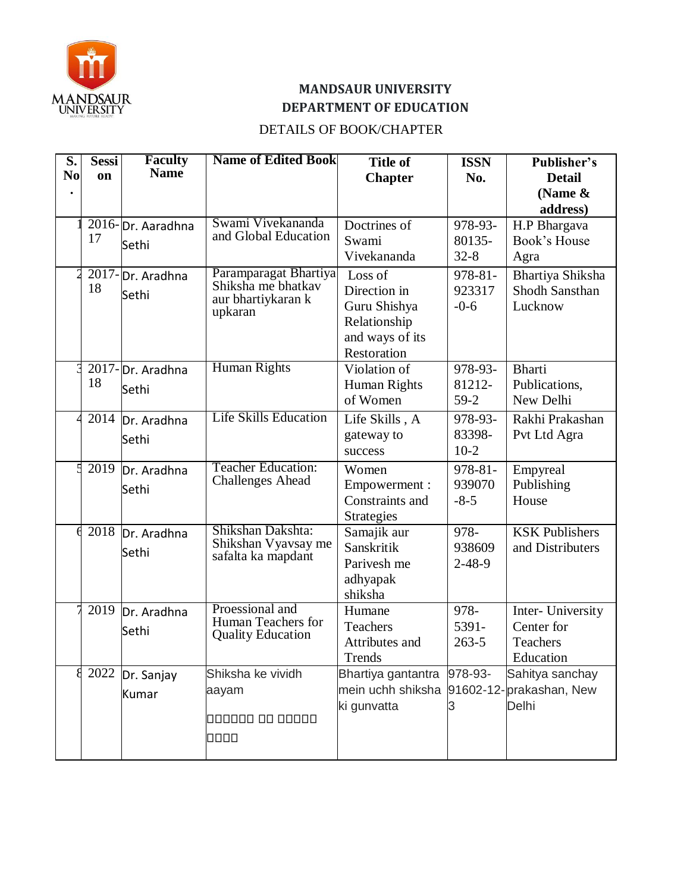

# **MANDSAUR UNIVERSITY DEPARTMENT OF EDUCATION**

#### DETAILS OF BOOK/CHAPTER

| S.             | <b>Sessi</b> | <b>Faculty</b><br><b>Name</b> | <b>Name of Edited Book</b>                | <b>Title of</b>    | <b>ISSN</b>  | Publisher's             |
|----------------|--------------|-------------------------------|-------------------------------------------|--------------------|--------------|-------------------------|
| N <sub>0</sub> | on           |                               |                                           | <b>Chapter</b>     | No.          | <b>Detail</b>           |
|                |              |                               |                                           |                    |              | (Name &                 |
|                |              |                               |                                           |                    |              | address)                |
|                |              | 2016-Dr. Aaradhna             | Swami Vivekananda                         | Doctrines of       | 978-93-      | H.P Bhargava            |
|                | 17           | Sethi                         | and Global Education                      | Swami              | 80135-       | Book's House            |
|                |              |                               |                                           | Vivekananda        | $32 - 8$     | Agra                    |
|                |              | 2017-Dr. Aradhna              | Paramparagat Bhartiya                     | Loss of            | 978-81-      | Bhartiya Shiksha        |
|                | 18           | Sethi                         | Shiksha me bhatkav                        | Direction in       | 923317       | Shodh Sansthan          |
|                |              |                               | aur bhartiykaran k<br>upkaran             | Guru Shishya       | $-0-6$       | Lucknow                 |
|                |              |                               |                                           | Relationship       |              |                         |
|                |              |                               |                                           | and ways of its    |              |                         |
|                |              |                               |                                           | Restoration        |              |                         |
|                |              | 2017-Dr. Aradhna              | <b>Human Rights</b>                       | Violation of       | 978-93-      | <b>Bharti</b>           |
|                | 18           | Sethi                         |                                           | Human Rights       | 81212-       | Publications,           |
|                |              |                               |                                           | of Women           | $59-2$       | New Delhi               |
|                |              | 2014 Dr. Aradhna              | <b>Life Skills Education</b>              | Life Skills, A     | 978-93-      | Rakhi Prakashan         |
|                |              | Sethi                         |                                           | gateway to         | 83398-       | Pvt Ltd Agra            |
|                |              |                               |                                           | success            | $10-2$       |                         |
|                | 2019         | Dr. Aradhna                   | <b>Teacher Education:</b>                 | Women              | 978-81-      | Empyreal                |
|                |              | Sethi                         | <b>Challenges Ahead</b>                   | Empowerment :      | 939070       | Publishing              |
|                |              |                               |                                           | Constraints and    | $-8-5$       | House                   |
|                |              |                               |                                           | <b>Strategies</b>  |              |                         |
|                | 2018         | Dr. Aradhna                   | Shikshan Dakshta:                         | Samajik aur        | 978-         | <b>KSK Publishers</b>   |
|                |              | Sethi                         | Shikshan Vyavsay me<br>safalta ka mapdant | Sanskritik         | 938609       | and Distributers        |
|                |              |                               |                                           | Parivesh me        | $2 - 48 - 9$ |                         |
|                |              |                               |                                           | adhyapak           |              |                         |
|                |              |                               |                                           | shiksha            |              |                         |
|                | 2019         | Dr. Aradhna                   | Proessional and<br>Human Teachers for     | Humane             | 978-         | Inter- University       |
|                |              | Sethi                         | <b>Quality Education</b>                  | Teachers           | 5391-        | Center for              |
|                |              |                               |                                           | Attributes and     | $263 - 5$    | Teachers                |
|                |              |                               |                                           | Trends             |              | Education               |
|                | 2022         | Dr. Sanjay                    | Shiksha ke vividh                         | Bhartiya gantantra | 978-93-      | Sahitya sanchay         |
|                |              | Kumar                         | aayam                                     | mein uchh shiksha  |              | 91602-12-prakashan, New |
|                |              |                               |                                           | ki gunvatta        |              | Delhi                   |
|                |              |                               | 000000 00 00000                           |                    |              |                         |
|                |              |                               | 0000                                      |                    |              |                         |
|                |              |                               |                                           |                    |              |                         |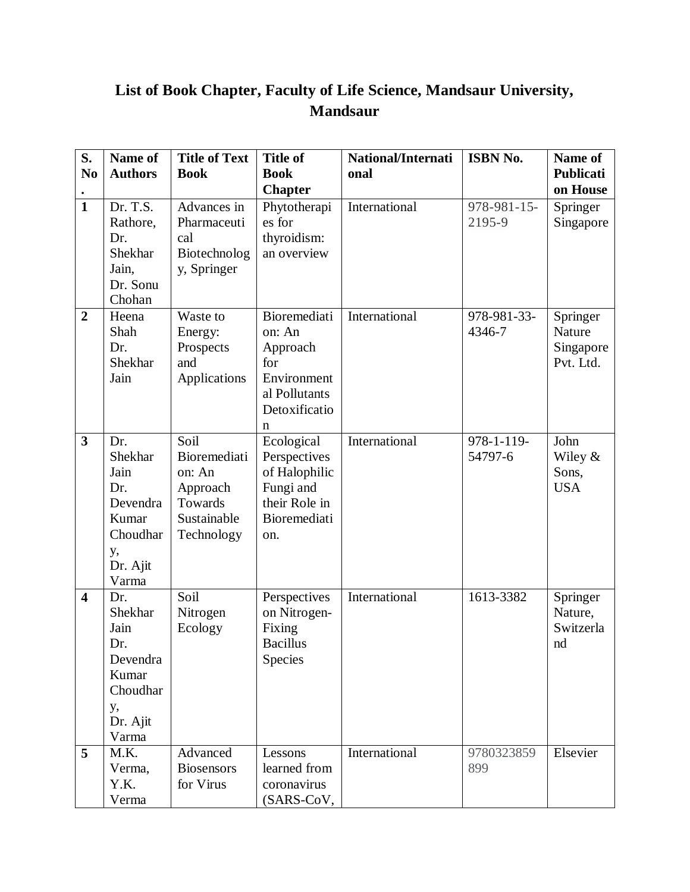# **List of Book Chapter, Faculty of Life Science, Mandsaur University, Mandsaur**

| S.                      | Name of                                                                                   | <b>Title of Text</b>                                                               | <b>Title of</b>                                                                                  | National/Internati | ISBN No.              | Name of                                      |
|-------------------------|-------------------------------------------------------------------------------------------|------------------------------------------------------------------------------------|--------------------------------------------------------------------------------------------------|--------------------|-----------------------|----------------------------------------------|
| N <sub>0</sub>          | <b>Authors</b>                                                                            | <b>Book</b>                                                                        | <b>Book</b>                                                                                      | onal               |                       | <b>Publicati</b>                             |
|                         |                                                                                           |                                                                                    | <b>Chapter</b>                                                                                   |                    |                       | on House                                     |
| $\mathbf{1}$            | Dr. T.S.<br>Rathore,<br>Dr.<br>Shekhar<br>Jain,<br>Dr. Sonu<br>Chohan                     | Advances in<br>Pharmaceuti<br>cal<br>Biotechnolog<br>y, Springer                   | Phytotherapi<br>es for<br>thyroidism:<br>an overview                                             | International      | 978-981-15-<br>2195-9 | Springer<br>Singapore                        |
| $\overline{2}$          | Heena<br>Shah<br>Dr.<br>Shekhar<br>Jain                                                   | Waste to<br>Energy:<br>Prospects<br>and<br>Applications                            | Bioremediati<br>on: An<br>Approach<br>for<br>Environment<br>al Pollutants<br>Detoxificatio<br>n  | International      | 978-981-33-<br>4346-7 | Springer<br>Nature<br>Singapore<br>Pvt. Ltd. |
| $\overline{\mathbf{3}}$ | Dr.<br>Shekhar<br>Jain<br>Dr.<br>Devendra<br>Kumar<br>Choudhar<br>у,<br>Dr. Ajit<br>Varma | Soil<br>Bioremediati<br>on: An<br>Approach<br>Towards<br>Sustainable<br>Technology | Ecological<br>Perspectives<br>of Halophilic<br>Fungi and<br>their Role in<br>Bioremediati<br>on. | International      | 978-1-119-<br>54797-6 | John<br>Wiley &<br>Sons,<br><b>USA</b>       |
| $\overline{\mathbf{4}}$ | Dr.<br>Shekhar<br>Jain<br>Dr.<br>Devendra<br>Kumar<br>Choudhar<br>у,<br>Dr. Ajit<br>Varma | Soil<br>Nitrogen<br>Ecology                                                        | Perspectives<br>on Nitrogen-<br>Fixing<br><b>Bacillus</b><br>Species                             | International      | 1613-3382             | Springer<br>Nature,<br>Switzerla<br>nd       |
| 5                       | M.K.<br>Verma,<br>Y.K.<br>Verma                                                           | Advanced<br><b>Biosensors</b><br>for Virus                                         | Lessons<br>learned from<br>coronavirus<br>(SARS-CoV,                                             | International      | 9780323859<br>899     | Elsevier                                     |